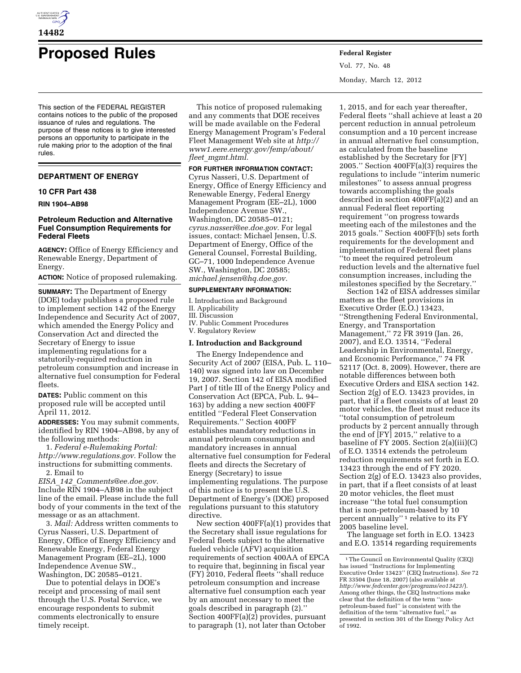

# **Proposed Rules Federal Register**

This section of the FEDERAL REGISTER contains notices to the public of the proposed issuance of rules and regulations. The purpose of these notices is to give interested persons an opportunity to participate in the rule making prior to the adoption of the final rules.

#### **DEPARTMENT OF ENERGY**

#### **10 CFR Part 438**

**RIN 1904–AB98** 

# **Petroleum Reduction and Alternative Fuel Consumption Requirements for Federal Fleets**

**AGENCY:** Office of Energy Efficiency and Renewable Energy, Department of Energy.

**ACTION:** Notice of proposed rulemaking.

**SUMMARY:** The Department of Energy (DOE) today publishes a proposed rule to implement section 142 of the Energy Independence and Security Act of 2007, which amended the Energy Policy and Conservation Act and directed the Secretary of Energy to issue implementing regulations for a statutorily-required reduction in petroleum consumption and increase in alternative fuel consumption for Federal fleets.

**DATES:** Public comment on this proposed rule will be accepted until April 11, 2012.

**ADDRESSES:** You may submit comments, identified by RIN 1904–AB98, by any of the following methods:

1. *Federal e-Rulemaking Portal: [http://www.regulations.gov.](http://www.regulations.gov)* Follow the instructions for submitting comments. 2. Email to

*EISA*\_*142*\_*[Comments@ee.doe.gov.](mailto:EISA_142_Comments@ee.doe.gov)*  Include RIN 1904–AB98 in the subject line of the email. Please include the full body of your comments in the text of the message or as an attachment.

3. *Mail:* Address written comments to Cyrus Nasseri, U.S. Department of Energy, Office of Energy Efficiency and Renewable Energy, Federal Energy Management Program (EE–2L), 1000 Independence Avenue SW., Washington, DC 20585–0121.

Due to potential delays in DOE's receipt and processing of mail sent through the U.S. Postal Service, we encourage respondents to submit comments electronically to ensure timely receipt.

This notice of proposed rulemaking and any comments that DOE receives will be made available on the Federal Energy Management Program's Federal Fleet Management Web site at *[http://](http://www1.eere.energy.gov/femp/about/fleet_mgmt.html)  [www1.eere.energy.gov/femp/about/](http://www1.eere.energy.gov/femp/about/fleet_mgmt.html) fleet*\_*[mgmt.html.](http://www1.eere.energy.gov/femp/about/fleet_mgmt.html)* 

**FOR FURTHER INFORMATION CONTACT:**  Cyrus Nasseri, U.S. Department of Energy, Office of Energy Efficiency and Renewable Energy, Federal Energy Management Program (EE–2L), 1000 Independence Avenue SW., Washington, DC 20585–0121; *[cyrus.nasseri@ee.doe.gov.](mailto:cyrus.nasseri@ee.doe.gov)* For legal issues, contact: Michael Jensen, U.S. Department of Energy, Office of the General Counsel, Forrestal Building, GC–71, 1000 Independence Avenue SW., Washington, DC 20585; *[michael.jensen@hq.doe.gov.](mailto:michael.jensen@hq.doe.gov)* 

# **SUPPLEMENTARY INFORMATION:**

I. Introduction and Background II. Applicability III. Discussion IV. Public Comment Procedures V. Regulatory Review

#### **I. Introduction and Background**

The Energy Independence and Security Act of 2007 (EISA, Pub. L. 110– 140) was signed into law on December 19, 2007. Section 142 of EISA modified Part J of title III of the Energy Policy and Conservation Act (EPCA, Pub. L. 94– 163) by adding a new section 400FF entitled ''Federal Fleet Conservation Requirements.'' Section 400FF establishes mandatory reductions in annual petroleum consumption and mandatory increases in annual alternative fuel consumption for Federal fleets and directs the Secretary of Energy (Secretary) to issue implementing regulations. The purpose of this notice is to present the U.S. Department of Energy's (DOE) proposed regulations pursuant to this statutory directive.

New section 400FF(a)(1) provides that the Secretary shall issue regulations for Federal fleets subject to the alternative fueled vehicle (AFV) acquisition requirements of section 400AA of EPCA to require that, beginning in fiscal year (FY) 2010, Federal fleets ''shall reduce petroleum consumption and increase alternative fuel consumption each year by an amount necessary to meet the goals described in paragraph (2).'' Section 400FF(a)(2) provides, pursuant to paragraph (1), not later than October

Vol. 77, No. 48 Monday, March 12, 2012

1, 2015, and for each year thereafter, Federal fleets ''shall achieve at least a 20 percent reduction in annual petroleum consumption and a 10 percent increase in annual alternative fuel consumption, as calculated from the baseline established by the Secretary for [FY] 2005.'' Section 400FF(a)(3) requires the regulations to include ''interim numeric milestones'' to assess annual progress towards accomplishing the goals described in section 400FF(a)(2) and an annual Federal fleet reporting requirement ''on progress towards meeting each of the milestones and the 2015 goals.'' Section 400FF(b) sets forth requirements for the development and implementation of Federal fleet plans ''to meet the required petroleum reduction levels and the alternative fuel consumption increases, including the milestones specified by the Secretary.''

Section 142 of EISA addresses similar matters as the fleet provisions in Executive Order (E.O.) 13423, ''Strengthening Federal Environmental, Energy, and Transportation Management,'' 72 FR 3919 (Jan. 26, 2007), and E.O. 13514, ''Federal Leadership in Environmental, Energy, and Economic Performance,'' 74 FR 52117 (Oct. 8, 2009). However, there are notable differences between both Executive Orders and EISA section 142. Section 2(g) of E.O. 13423 provides, in part, that if a fleet consists of at least 20 motor vehicles, the fleet must reduce its ''total consumption of petroleum products by 2 percent annually through the end of [FY] 2015,'' relative to a baseline of FY 2005. Section 2(a)(iii)(C) of E.O. 13514 extends the petroleum reduction requirements set forth in E.O. 13423 through the end of FY 2020. Section 2(g) of E.O. 13423 also provides, in part, that if a fleet consists of at least 20 motor vehicles, the fleet must increase ''the total fuel consumption that is non-petroleum-based by 10 percent annually'' 1 relative to its FY 2005 baseline level.

The language set forth in E.O. 13423 and E.O. 13514 regarding requirements

<sup>1</sup>The Council on Environmental Quality (CEQ) has issued ''Instructions for Implementing Executive Order 13423'' (CEQ Instructions). *See* 72 FR 33504 (June 18, 2007) (also available at *<http://www.fedcenter.gov/programs/eo13423/>*). Among other things, the CEQ Instructions make clear that the definition of the term ''nonpetroleum-based fuel'' is consistent with the definition of the term ''alternative fuel,'' as presented in section 301 of the Energy Policy Act of 1992.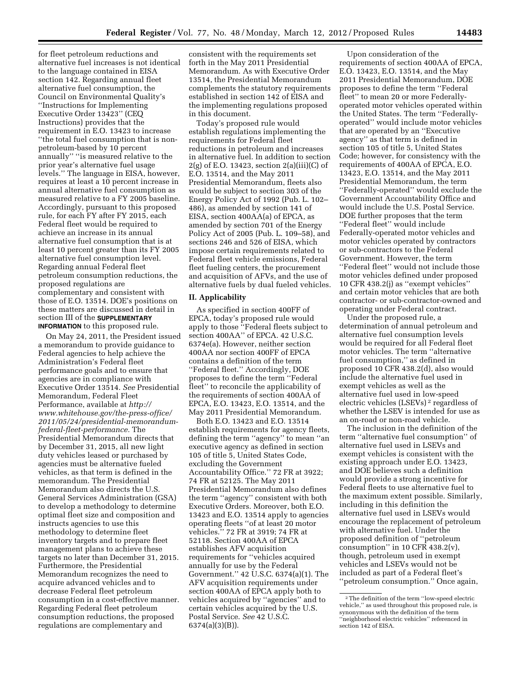for fleet petroleum reductions and alternative fuel increases is not identical to the language contained in EISA section 142. Regarding annual fleet alternative fuel consumption, the Council on Environmental Quality's ''Instructions for Implementing Executive Order 13423'' (CEQ Instructions) provides that the requirement in E.O. 13423 to increase ''the total fuel consumption that is nonpetroleum-based by 10 percent annually'' ''is measured relative to the prior year's alternative fuel usage levels.'' The language in EISA, however, requires at least a 10 percent increase in annual alternative fuel consumption as measured relative to a FY 2005 baseline. Accordingly, pursuant to this proposed rule, for each FY after FY 2015, each Federal fleet would be required to achieve an increase in its annual alternative fuel consumption that is at least 10 percent greater than its FY 2005 alternative fuel consumption level. Regarding annual Federal fleet petroleum consumption reductions, the proposed regulations are complementary and consistent with those of E.O. 13514. DOE's positions on these matters are discussed in detail in section III of the **SUPPLEMENTARY INFORMATION** to this proposed rule.

On May 24, 2011, the President issued a memorandum to provide guidance to Federal agencies to help achieve the Administration's Federal fleet performance goals and to ensure that agencies are in compliance with Executive Order 13514. *See* Presidential Memorandum, Federal Fleet Performance, available at *[http://](http://www.whitehouse.gov/the-press-office/2011/05/24/presidential-memorandum-federal-fleet-performance)  [www.whitehouse.gov/the-press-office/](http://www.whitehouse.gov/the-press-office/2011/05/24/presidential-memorandum-federal-fleet-performance) [2011/05/24/presidential-memorandum](http://www.whitehouse.gov/the-press-office/2011/05/24/presidential-memorandum-federal-fleet-performance)[federal-fleet-performance.](http://www.whitehouse.gov/the-press-office/2011/05/24/presidential-memorandum-federal-fleet-performance)* The Presidential Memorandum directs that by December 31, 2015, all new light duty vehicles leased or purchased by agencies must be alternative fueled vehicles, as that term is defined in the memorandum. The Presidential Memorandum also directs the U.S. General Services Administration (GSA) to develop a methodology to determine optimal fleet size and composition and instructs agencies to use this methodology to determine fleet inventory targets and to prepare fleet management plans to achieve these targets no later than December 31, 2015. Furthermore, the Presidential Memorandum recognizes the need to acquire advanced vehicles and to decrease Federal fleet petroleum consumption in a cost-effective manner. Regarding Federal fleet petroleum consumption reductions, the proposed regulations are complementary and

consistent with the requirements set forth in the May 2011 Presidential Memorandum. As with Executive Order 13514, the Presidential Memorandum complements the statutory requirements established in section 142 of EISA and the implementing regulations proposed in this document.

Today's proposed rule would establish regulations implementing the requirements for Federal fleet reductions in petroleum and increases in alternative fuel. In addition to section  $2(g)$  of E.O. 13423, section  $2(a)(iii)(C)$  of E.O. 13514, and the May 2011 Presidential Memorandum, fleets also would be subject to section 303 of the Energy Policy Act of 1992 (Pub. L. 102– 486), as amended by section 141 of EISA, section 400AA(a) of EPCA, as amended by section 701 of the Energy Policy Act of 2005 (Pub. L. 109–58), and sections 246 and 526 of EISA, which impose certain requirements related to Federal fleet vehicle emissions, Federal fleet fueling centers, the procurement and acquisition of AFVs, and the use of alternative fuels by dual fueled vehicles.

# **II. Applicability**

As specified in section 400FF of EPCA, today's proposed rule would apply to those ''Federal fleets subject to section 400AA'' of EPCA. 42 U.S.C. 6374e(a). However, neither section 400AA nor section 400FF of EPCA contains a definition of the term ''Federal fleet.'' Accordingly, DOE proposes to define the term ''Federal fleet'' to reconcile the applicability of the requirements of section 400AA of EPCA, E.O. 13423, E.O. 13514, and the May 2011 Presidential Memorandum.

Both E.O. 13423 and E.O. 13514 establish requirements for agency fleets, defining the term ''agency'' to mean ''an executive agency as defined in section 105 of title 5, United States Code, excluding the Government Accountability Office.'' 72 FR at 3922; 74 FR at 52125. The May 2011 Presidential Memorandum also defines the term ''agency'' consistent with both Executive Orders. Moreover, both E.O. 13423 and E.O. 13514 apply to agencies operating fleets ''of at least 20 motor vehicles.'' 72 FR at 3919; 74 FR at 52118. Section 400AA of EPCA establishes AFV acquisition requirements for ''vehicles acquired annually for use by the Federal Government."  $42 \text{ U.S.C. } 6374(a)(1)$ . The AFV acquisition requirements under section 400AA of EPCA apply both to vehicles acquired by ''agencies'' and to certain vehicles acquired by the U.S. Postal Service. *See* 42 U.S.C. 6374(a)(3)(B)).

Upon consideration of the requirements of section 400AA of EPCA, E.O. 13423, E.O. 13514, and the May 2011 Presidential Memorandum, DOE proposes to define the term ''Federal fleet'' to mean 20 or more Federallyoperated motor vehicles operated within the United States. The term ''Federallyoperated'' would include motor vehicles that are operated by an ''Executive agency'' as that term is defined in section 105 of title 5, United States Code; however, for consistency with the requirements of 400AA of EPCA, E.O. 13423, E.O. 13514, and the May 2011 Presidential Memorandum, the term ''Federally-operated'' would exclude the Government Accountability Office and would include the U.S. Postal Service. DOE further proposes that the term ''Federal fleet'' would include Federally-operated motor vehicles and motor vehicles operated by contractors or sub-contractors to the Federal Government. However, the term ''Federal fleet'' would not include those motor vehicles defined under proposed 10 CFR 438.2(j) as ''exempt vehicles'' and certain motor vehicles that are both contractor- or sub-contractor-owned and operating under Federal contract.

Under the proposed rule, a determination of annual petroleum and alternative fuel consumption levels would be required for all Federal fleet motor vehicles. The term ''alternative fuel consumption,'' as defined in proposed 10 CFR 438.2(d), also would include the alternative fuel used in exempt vehicles as well as the alternative fuel used in low-speed electric vehicles (LSEVs) 2 regardless of whether the LSEV is intended for use as an on-road or non-road vehicle.

The inclusion in the definition of the term ''alternative fuel consumption'' of alternative fuel used in LSEVs and exempt vehicles is consistent with the existing approach under E.O. 13423, and DOE believes such a definition would provide a strong incentive for Federal fleets to use alternative fuel to the maximum extent possible. Similarly, including in this definition the alternative fuel used in LSEVs would encourage the replacement of petroleum with alternative fuel. Under the proposed definition of ''petroleum consumption'' in 10 CFR 438.2(v), though, petroleum used in exempt vehicles and LSEVs would not be included as part of a Federal fleet's ''petroleum consumption.'' Once again,

<sup>2</sup>The definition of the term ''low-speed electric vehicle,'' as used throughout this proposed rule, is synonymous with the definition of the term ''neighborhood electric vehicles'' referenced in section 142 of EISA.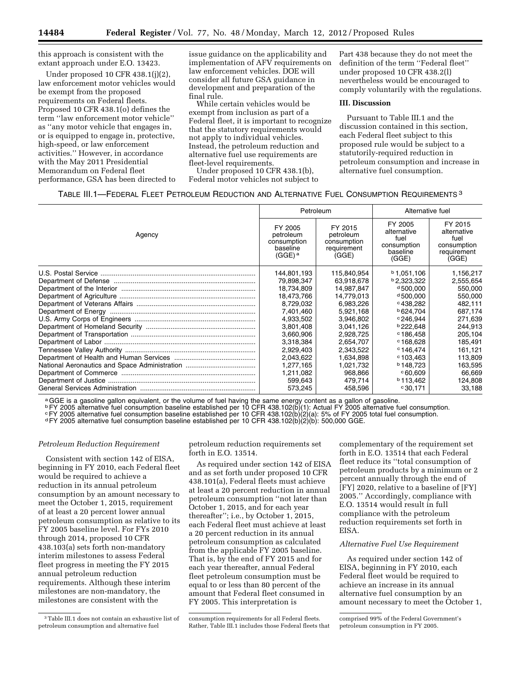this approach is consistent with the extant approach under E.O. 13423.

Under proposed 10 CFR 438.1(j)(2), law enforcement motor vehicles would be exempt from the proposed requirements on Federal fleets. Proposed 10 CFR 438.1(o) defines the term ''law enforcement motor vehicle'' as ''any motor vehicle that engages in, or is equipped to engage in, protective, high-speed, or law enforcement activities.'' However, in accordance with the May 2011 Presidential Memorandum on Federal fleet performance, GSA has been directed to issue guidance on the applicability and implementation of AFV requirements on law enforcement vehicles. DOE will consider all future GSA guidance in development and preparation of the final rule.

While certain vehicles would be exempt from inclusion as part of a Federal fleet, it is important to recognize that the statutory requirements would not apply to individual vehicles. Instead, the petroleum reduction and alternative fuel use requirements are fleet-level requirements.

Under proposed 10 CFR 438.1(b), Federal motor vehicles not subject to

Part 438 because they do not meet the definition of the term ''Federal fleet'' under proposed 10 CFR 438.2(l) nevertheless would be encouraged to comply voluntarily with the regulations.

## **III. Discussion**

Pursuant to Table III.1 and the discussion contained in this section, each Federal fleet subject to this proposed rule would be subject to a statutorily-required reduction in petroleum consumption and increase in alternative fuel consumption.

| TABLE III.1—FEDERAL FLEET PETROLEUM REDUCTION AND ALTERNATIVE FUEL CONSUMPTION REQUIREMENTS $^3$ |  |
|--------------------------------------------------------------------------------------------------|--|
|--------------------------------------------------------------------------------------------------|--|

| Agency | Petroleum                                                               |                                                             | Alternative fuel                                                   |                                                                       |
|--------|-------------------------------------------------------------------------|-------------------------------------------------------------|--------------------------------------------------------------------|-----------------------------------------------------------------------|
|        | FY 2005<br>petroleum<br>consumption<br>baseline<br>$(GGE)$ <sup>a</sup> | FY 2015<br>petroleum<br>consumption<br>requirement<br>(GGE) | FY 2005<br>alternative<br>fuel<br>consumption<br>baseline<br>(GGE) | FY 2015<br>alternative<br>fuel<br>consumption<br>requirement<br>(GGE) |
|        | 144,801,193                                                             | 115,840,954                                                 | $b$ 1,051,106                                                      | 1,156,217                                                             |
|        | 79,898,347                                                              | 63,918,678                                                  | <b>b</b> 2,323,322                                                 | 2,555,654                                                             |
|        | 18,734,809                                                              | 14,987,847                                                  | $d\,500.000$                                                       | 550,000                                                               |
|        | 18.473.766                                                              | 14.779.013                                                  | $d\,500.000$                                                       | 550,000                                                               |
|        | 8,729,032                                                               | 6,983,226                                                   | ∘438.282                                                           | 482,111                                                               |
|        | 7,401,460                                                               | 5.921.168                                                   | <b>b</b> 624.704                                                   | 687.174                                                               |
|        | 4,933,502                                                               | 3.946.802                                                   | $c$ 246.944                                                        | 271.639                                                               |
|        | 3,801,408                                                               | 3,041,126                                                   | <b>b</b> 222.648                                                   | 244.913                                                               |
|        | 3,660,906                                                               | 2,928,725                                                   | $c$ 186.458                                                        | 205,104                                                               |
|        | 3,318,384                                                               | 2.654.707                                                   | $c$ 168.628                                                        | 185.491                                                               |
|        | 2,929,403                                                               | 2,343,522                                                   | $c$ 146.474                                                        | 161,121                                                               |
|        | 2,043,622                                                               | 1,634,898                                                   | $c$ 103.463                                                        | 113,809                                                               |
|        | 1,277,165                                                               | 1,021,732                                                   | <b>b</b> 148.723                                                   | 163,595                                                               |
|        | 1,211,082                                                               | 968,866                                                     | 0.609                                                              | 66,669                                                                |
|        | 599,643                                                                 | 479,714                                                     | <b>b</b> 113.462                                                   | 124,808                                                               |
|        | 573,245                                                                 | 458,596                                                     | $^{\circ}30,171$                                                   | 33,188                                                                |

a GGE is a gasoline gallon equivalent, or the volume of fuel having the same energy content as a gallon of gasoline.<br> **PFY 2005** alternative fuel consumption baseline established per 10 CFR 438.102(b)(1): Actual FY 2005 al <sup>ь</sup> FY 2005 alternative fuel consumption baseline established per 10 CFR 438.102(b)(1): Actual FY 2005 alternative fuel consumption.<br>° FY 2005 alternative fuel consumption baseline established per 10 CFR 438.102(b)(2)(a)

## *Petroleum Reduction Requirement*

Consistent with section 142 of EISA, beginning in FY 2010, each Federal fleet would be required to achieve a reduction in its annual petroleum consumption by an amount necessary to meet the October 1, 2015, requirement of at least a 20 percent lower annual petroleum consumption as relative to its FY 2005 baseline level. For FYs 2010 through 2014, proposed 10 CFR 438.103(a) sets forth non-mandatory interim milestones to assess Federal fleet progress in meeting the FY 2015 annual petroleum reduction requirements. Although these interim milestones are non-mandatory, the milestones are consistent with the

petroleum reduction requirements set forth in E.O. 13514.

As required under section 142 of EISA and as set forth under proposed 10 CFR 438.101(a), Federal fleets must achieve at least a 20 percent reduction in annual petroleum consumption ''not later than October 1, 2015, and for each year thereafter''; i.e., by October 1, 2015, each Federal fleet must achieve at least a 20 percent reduction in its annual petroleum consumption as calculated from the applicable FY 2005 baseline. That is, by the end of FY 2015 and for each year thereafter, annual Federal fleet petroleum consumption must be equal to or less than 80 percent of the amount that Federal fleet consumed in FY 2005. This interpretation is

consumption requirements for all Federal fleets. Rather, Table III.1 includes those Federal fleets that complementary of the requirement set forth in E.O. 13514 that each Federal fleet reduce its ''total consumption of petroleum products by a minimum or 2 percent annually through the end of [FY] 2020, relative to a baseline of [FY] 2005.'' Accordingly, compliance with E.O. 13514 would result in full compliance with the petroleum reduction requirements set forth in EISA.

#### *Alternative Fuel Use Requirement*

As required under section 142 of EISA, beginning in FY 2010, each Federal fleet would be required to achieve an increase in its annual alternative fuel consumption by an amount necessary to meet the October 1,

<sup>3</sup>Table III.1 does not contain an exhaustive list of petroleum consumption and alternative fuel

comprised 99% of the Federal Government's petroleum consumption in FY 2005.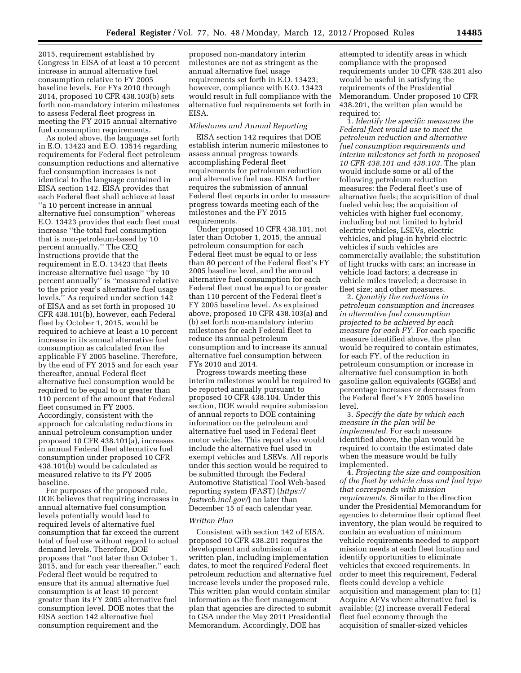2015, requirement established by Congress in EISA of at least a 10 percent increase in annual alternative fuel consumption relative to FY 2005 baseline levels. For FYs 2010 through 2014, proposed 10 CFR 438.103(b) sets forth non-mandatory interim milestones to assess Federal fleet progress in meeting the FY 2015 annual alternative fuel consumption requirements.

As noted above, the language set forth in E.O. 13423 and E.O. 13514 regarding requirements for Federal fleet petroleum consumption reductions and alternative fuel consumption increases is not identical to the language contained in EISA section 142. EISA provides that each Federal fleet shall achieve at least ''a 10 percent increase in annual alternative fuel consumption'' whereas E.O. 13423 provides that each fleet must increase ''the total fuel consumption that is non-petroleum-based by 10 percent annually.'' The CEQ Instructions provide that the requirement in E.O. 13423 that fleets increase alternative fuel usage ''by 10 percent annually'' is ''measured relative to the prior year's alternative fuel usage levels.'' As required under section 142 of EISA and as set forth in proposed 10 CFR 438.101(b), however, each Federal fleet by October 1, 2015, would be required to achieve at least a 10 percent increase in its annual alternative fuel consumption as calculated from the applicable FY 2005 baseline. Therefore, by the end of FY 2015 and for each year thereafter, annual Federal fleet alternative fuel consumption would be required to be equal to or greater than 110 percent of the amount that Federal fleet consumed in FY 2005. Accordingly, consistent with the approach for calculating reductions in annual petroleum consumption under proposed 10 CFR 438.101(a), increases in annual Federal fleet alternative fuel consumption under proposed 10 CFR 438.101(b) would be calculated as measured relative to its FY 2005 baseline.

For purposes of the proposed rule, DOE believes that requiring increases in annual alternative fuel consumption levels potentially would lead to required levels of alternative fuel consumption that far exceed the current total of fuel use without regard to actual demand levels. Therefore, DOE proposes that ''not later than October 1, 2015, and for each year thereafter,'' each Federal fleet would be required to ensure that its annual alternative fuel consumption is at least 10 percent greater than its FY 2005 alternative fuel consumption level. DOE notes that the EISA section 142 alternative fuel consumption requirement and the

proposed non-mandatory interim milestones are not as stringent as the annual alternative fuel usage requirements set forth in E.O. 13423; however, compliance with E.O. 13423 would result in full compliance with the alternative fuel requirements set forth in EISA.

#### *Milestones and Annual Reporting*

EISA section 142 requires that DOE establish interim numeric milestones to assess annual progress towards accomplishing Federal fleet requirements for petroleum reduction and alternative fuel use. EISA further requires the submission of annual Federal fleet reports in order to measure progress towards meeting each of the milestones and the FY 2015 requirements.

Under proposed 10 CFR 438.101, not later than October 1, 2015, the annual petroleum consumption for each Federal fleet must be equal to or less than 80 percent of the Federal fleet's FY 2005 baseline level, and the annual alternative fuel consumption for each Federal fleet must be equal to or greater than 110 percent of the Federal fleet's FY 2005 baseline level. As explained above, proposed 10 CFR 438.103(a) and (b) set forth non-mandatory interim milestones for each Federal fleet to reduce its annual petroleum consumption and to increase its annual alternative fuel consumption between FYs 2010 and 2014.

Progress towards meeting these interim milestones would be required to be reported annually pursuant to proposed 10 CFR 438.104. Under this section, DOE would require submission of annual reports to DOE containing information on the petroleum and alternative fuel used in Federal fleet motor vehicles. This report also would include the alternative fuel used in exempt vehicles and LSEVs. All reports under this section would be required to be submitted through the Federal Automotive Statistical Tool Web-based reporting system (FAST) (*[https://](https://fastweb.inel.gov/) [fastweb.inel.gov/](https://fastweb.inel.gov/)*) no later than December 15 of each calendar year.

#### *Written Plan*

Consistent with section 142 of EISA, proposed 10 CFR 438.201 requires the development and submission of a written plan, including implementation dates, to meet the required Federal fleet petroleum reduction and alternative fuel increase levels under the proposed rule. This written plan would contain similar information as the fleet management plan that agencies are directed to submit to GSA under the May 2011 Presidential Memorandum. Accordingly, DOE has

attempted to identify areas in which compliance with the proposed requirements under 10 CFR 438.201 also would be useful in satisfying the requirements of the Presidential Memorandum. Under proposed 10 CFR 438.201, the written plan would be required to:

1. *Identify the specific measures the Federal fleet would use to meet the petroleum reduction and alternative fuel consumption requirements and interim milestones set forth in proposed 10 CFR 438.101 and 438.103.* The plan would include some or all of the following petroleum reduction measures: the Federal fleet's use of alternative fuels; the acquisition of dual fueled vehicles; the acquisition of vehicles with higher fuel economy, including but not limited to hybrid electric vehicles, LSEVs, electric vehicles, and plug-in hybrid electric vehicles if such vehicles are commercially available; the substitution of light trucks with cars; an increase in vehicle load factors; a decrease in vehicle miles traveled; a decrease in fleet size; and other measures.

2. *Quantify the reductions in petroleum consumption and increases in alternative fuel consumption projected to be achieved by each measure for each FY.* For each specific measure identified above, the plan would be required to contain estimates, for each FY, of the reduction in petroleum consumption or increase in alternative fuel consumption in both gasoline gallon equivalents (GGEs) and percentage increases or decreases from the Federal fleet's FY 2005 baseline level.

3. *Specify the date by which each measure in the plan will be implemented.* For each measure identified above, the plan would be required to contain the estimated date when the measure would be fully implemented.

4. *Projecting the size and composition of the fleet by vehicle class and fuel type that corresponds with mission requirements.* Similar to the direction under the Presidential Memorandum for agencies to determine their optimal fleet inventory, the plan would be required to contain an evaluation of minimum vehicle requirements needed to support mission needs at each fleet location and identify opportunities to eliminate vehicles that exceed requirements. In order to meet this requirement, Federal fleets could develop a vehicle acquisition and management plan to: (1) Acquire AFVs where alternative fuel is available; (2) increase overall Federal fleet fuel economy through the acquisition of smaller-sized vehicles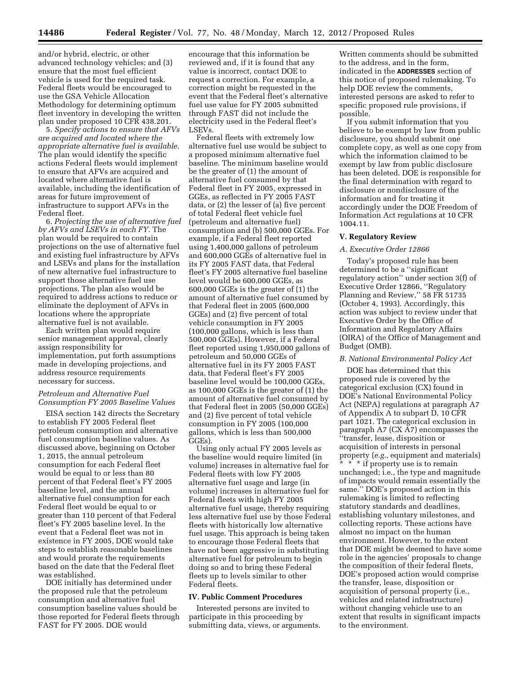5. *Specify actions to ensure that AFVs are acquired and located where the appropriate alternative fuel is available.*  The plan would identify the specific actions Federal fleets would implement to ensure that AFVs are acquired and located where alternative fuel is available, including the identification of areas for future improvement of infrastructure to support AFVs in the Federal fleet.

6. *Projecting the use of alternative fuel by AFVs and LSEVs in each FY.* The plan would be required to contain projections on the use of alternative fuel and existing fuel infrastructure by AFVs and LSEVs and plans for the installation of new alternative fuel infrastructure to support those alternative fuel use projections. The plan also would be required to address actions to reduce or eliminate the deployment of AFVs in locations where the appropriate alternative fuel is not available.

Each written plan would require senior management approval, clearly assign responsibility for implementation, put forth assumptions made in developing projections, and address resource requirements necessary for success.

## *Petroleum and Alternative Fuel Consumption FY 2005 Baseline Values*

EISA section 142 directs the Secretary to establish FY 2005 Federal fleet petroleum consumption and alternative fuel consumption baseline values. As discussed above, beginning on October 1, 2015, the annual petroleum consumption for each Federal fleet would be equal to or less than 80 percent of that Federal fleet's FY 2005 baseline level, and the annual alternative fuel consumption for each Federal fleet would be equal to or greater than 110 percent of that Federal fleet's FY 2005 baseline level. In the event that a Federal fleet was not in existence in FY 2005, DOE would take steps to establish reasonable baselines and would prorate the requirements based on the date that the Federal fleet was established.

DOE initially has determined under the proposed rule that the petroleum consumption and alternative fuel consumption baseline values should be those reported for Federal fleets through FAST for FY 2005. DOE would

encourage that this information be reviewed and, if it is found that any value is incorrect, contact DOE to request a correction. For example, a correction might be requested in the event that the Federal fleet's alternative fuel use value for FY 2005 submitted through FAST did not include the electricity used in the Federal fleet's LSEVs.

Federal fleets with extremely low alternative fuel use would be subject to a proposed minimum alternative fuel baseline. The minimum baseline would be the greater of (1) the amount of alternative fuel consumed by that Federal fleet in FY 2005, expressed in GGEs, as reflected in FY 2005 FAST data, or (2) the lesser of (a) five percent of total Federal fleet vehicle fuel (petroleum and alternative fuel) consumption and (b) 500,000 GGEs. For example, if a Federal fleet reported using 1,400,000 gallons of petroleum and 600,000 GGEs of alternative fuel in its FY 2005 FAST data, that Federal fleet's FY 2005 alternative fuel baseline level would be 600,000 GGEs, as 600,000 GGEs is the greater of (1) the amount of alternative fuel consumed by that Federal fleet in 2005 (600,000 GGEs) and (2) five percent of total vehicle consumption in FY 2005 (100,000 gallons, which is less than 500,000 GGEs). However, if a Federal fleet reported using 1,950,000 gallons of petroleum and 50,000 GGEs of alternative fuel in its FY 2005 FAST data, that Federal fleet's FY 2005 baseline level would be 100,000 GGEs, as 100,000 GGEs is the greater of (1) the amount of alternative fuel consumed by that Federal fleet in 2005 (50,000 GGEs) and (2) five percent of total vehicle consumption in FY 2005 (100,000 gallons, which is less than 500,000 GGEs).

Using only actual FY 2005 levels as the baseline would require limited (in volume) increases in alternative fuel for Federal fleets with low FY 2005 alternative fuel usage and large (in volume) increases in alternative fuel for Federal fleets with high FY 2005 alternative fuel usage, thereby requiring less alternative fuel use by those Federal fleets with historically low alternative fuel usage. This approach is being taken to encourage those Federal fleets that have not been aggressive in substituting alternative fuel for petroleum to begin doing so and to bring these Federal fleets up to levels similar to other Federal fleets.

## **IV. Public Comment Procedures**

Interested persons are invited to participate in this proceeding by submitting data, views, or arguments.

Written comments should be submitted to the address, and in the form, indicated in the **ADDRESSES** section of this notice of proposed rulemaking. To help DOE review the comments, interested persons are asked to refer to specific proposed rule provisions, if possible.

If you submit information that you believe to be exempt by law from public disclosure, you should submit one complete copy, as well as one copy from which the information claimed to be exempt by law from public disclosure has been deleted. DOE is responsible for the final determination with regard to disclosure or nondisclosure of the information and for treating it accordingly under the DOE Freedom of Information Act regulations at 10 CFR 1004.11.

## **V. Regulatory Review**

#### *A. Executive Order 12866*

Today's proposed rule has been determined to be a ''significant regulatory action'' under section 3(f) of Executive Order 12866, ''Regulatory Planning and Review,'' 58 FR 51735 (October 4, 1993). Accordingly, this action was subject to review under that Executive Order by the Office of Information and Regulatory Affairs (OIRA) of the Office of Management and Budget (OMB).

#### *B. National Environmental Policy Act*

DOE has determined that this proposed rule is covered by the categorical exclusion (CX) found in DOE's National Environmental Policy Act (NEPA) regulations at paragraph A7 of Appendix A to subpart D, 10 CFR part 1021. The categorical exclusion in paragraph A7 (CX A7) encompasses the ''transfer, lease, disposition or acquisition of interests in personal property (*e.g.,* equipment and materials) \* \* \* if property use is to remain unchanged; i.e., the type and magnitude of impacts would remain essentially the same.'' DOE's proposed action in this rulemaking is limited to reflecting statutory standards and deadlines, establishing voluntary milestones, and collecting reports. These actions have almost no impact on the human environment. However, to the extent that DOE might be deemed to have some role in the agencies' proposals to change the composition of their federal fleets, DOE's proposed action would comprise the transfer, lease, disposition or acquisition of personal property (i.e., vehicles and related infrastructure) without changing vehicle use to an extent that results in significant impacts to the environment.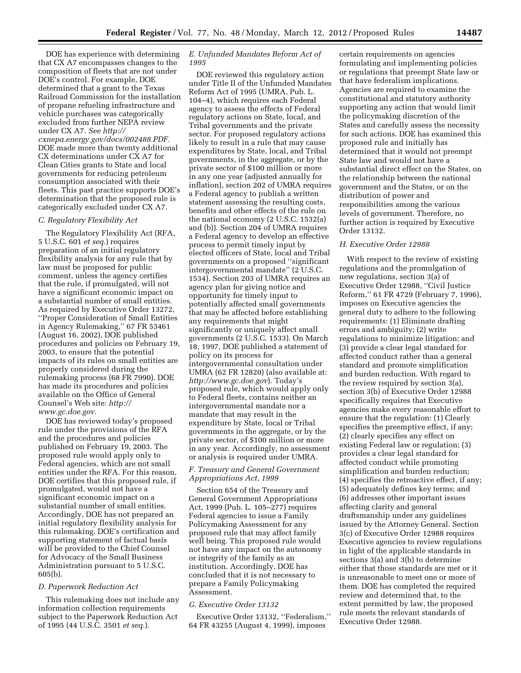DOE has experience with determining that CX A7 encompasses changes to the composition of fleets that are not under DOE's control. For example, DOE determined that a grant to the Texas Railroad Commission for the installation of propane refueling infrastructure and vehicle purchases was categorically excluded from further NEPA review under CX A7. *See [http://](http://cxnepa.energy.gov/docs/002488.PDF) [cxnepa.energy.gov/docs/002488.PDF.](http://cxnepa.energy.gov/docs/002488.PDF)*  DOE made more than twenty additional CX determinations under CX A7 for Clean Cities grants to State and local governments for reducing petroleum consumption associated with their fleets. This past practice supports DOE's determination that the proposed rule is categorically excluded under CX A7.

#### *C. Regulatory Flexibility Act*

The Regulatory Flexibility Act (RFA, 5 U.S.C. 601 *et seq.*) requires preparation of an initial regulatory flexibility analysis for any rule that by law must be proposed for public comment, unless the agency certifies that the rule, if promulgated, will not have a significant economic impact on a substantial number of small entities. As required by Executive Order 13272, ''Proper Consideration of Small Entities in Agency Rulemaking,'' 67 FR 53461 (August 16, 2002), DOE published procedures and policies on February 19, 2003, to ensure that the potential impacts of its rules on small entities are properly considered during the rulemaking process (68 FR 7990). DOE has made its procedures and policies available on the Office of General Counsel's Web site: *[http://](http://www.gc.doe.gov) [www.gc.doe.gov.](http://www.gc.doe.gov)* 

DOE has reviewed today's proposed rule under the provisions of the RFA and the procedures and policies published on February 19, 2003. The proposed rule would apply only to Federal agencies, which are not small entities under the RFA. For this reason, DOE certifies that this proposed rule, if promulgated, would not have a significant economic impact on a substantial number of small entities. Accordingly, DOE has not prepared an initial regulatory flexibility analysis for this rulemaking. DOE's certification and supporting statement of factual basis will be provided to the Chief Counsel for Advocacy of the Small Business Administration pursuant to 5 U.S.C. 605(b).

#### *D. Paperwork Reduction Act*

This rulemaking does not include any information collection requirements subject to the Paperwork Reduction Act of 1995 (44 U.S.C. 3501 *et seq.*).

# *E. Unfunded Mandates Reform Act of 1995*

DOE reviewed this regulatory action under Title II of the Unfunded Mandates Reform Act of 1995 (UMRA, Pub. L. 104–4), which requires each Federal agency to assess the effects of Federal regulatory actions on State, local, and Tribal governments and the private sector. For proposed regulatory actions likely to result in a rule that may cause expenditures by State, local, and Tribal governments, in the aggregate, or by the private sector of \$100 million or more in any one year (adjusted annually for inflation), section 202 of UMRA requires a Federal agency to publish a written statement assessing the resulting costs, benefits and other effects of the rule on the national economy (2 U.S.C. 1532(a) and (b)). Section 204 of UMRA requires a Federal agency to develop an effective process to permit timely input by elected officers of State, local and Tribal governments on a proposed ''significant intergovernmental mandate'' (2 U.S.C. 1534). Section 203 of UMRA requires an agency plan for giving notice and opportunity for timely input to potentially affected small governments that may be affected before establishing any requirements that might significantly or uniquely affect small governments (2 U.S.C. 1533). On March 18, 1997, DOE published a statement of policy on its process for intergovernmental consultation under UMRA (62 FR 12820) (also available at: *<http://www.gc.doe.gov>*). Today's proposed rule, which would apply only to Federal fleets, contains neither an intergovernmental mandate nor a mandate that may result in the expenditure by State, local or Tribal governments in the aggregate, or by the private sector, of \$100 million or more in any year. Accordingly, no assessment or analysis is required under UMRA.

# *F. Treasury and General Government Appropriations Act, 1999*

Section 654 of the Treasury and General Government Appropriations Act, 1999 (Pub. L. 105–277) requires Federal agencies to issue a Family Policymaking Assessment for any proposed rule that may affect family well being. This proposed rule would not have any impact on the autonomy or integrity of the family as an institution. Accordingly, DOE has concluded that it is not necessary to prepare a Family Policymaking Assessment.

#### *G. Executive Order 13132*

Executive Order 13132, ''Federalism,'' 64 FR 43255 (August 4, 1999), imposes

certain requirements on agencies formulating and implementing policies or regulations that preempt State law or that have federalism implications. Agencies are required to examine the constitutional and statutory authority supporting any action that would limit the policymaking discretion of the States and carefully assess the necessity for such actions. DOE has examined this proposed rule and initially has determined that it would not preempt State law and would not have a substantial direct effect on the States, on the relationship between the national government and the States, or on the distribution of power and responsibilities among the various levels of government. Therefore, no further action is required by Executive Order 13132.

#### *H. Executive Order 12988*

With respect to the review of existing regulations and the promulgation of new regulations, section 3(a) of Executive Order 12988, ''Civil Justice Reform,'' 61 FR 4729 (February 7, 1996), imposes on Executive agencies the general duty to adhere to the following requirements: (1) Eliminate drafting errors and ambiguity; (2) write regulations to minimize litigation; and (3) provide a clear legal standard for affected conduct rather than a general standard and promote simplification and burden reduction. With regard to the review required by section 3(a), section 3(b) of Executive Order 12988 specifically requires that Executive agencies make every reasonable effort to ensure that the regulation: (1) Clearly specifies the preemptive effect, if any; (2) clearly specifies any effect on existing Federal law or regulation; (3) provides a clear legal standard for affected conduct while promoting simplification and burden reduction; (4) specifies the retroactive effect, if any; (5) adequately defines key terms; and (6) addresses other important issues affecting clarity and general draftsmanship under any guidelines issued by the Attorney General. Section 3(c) of Executive Order 12988 requires Executive agencies to review regulations in light of the applicable standards in sections 3(a) and 3(b) to determine either that those standards are met or it is unreasonable to meet one or more of them. DOE has completed the required review and determined that, to the extent permitted by law, the proposed rule meets the relevant standards of Executive Order 12988.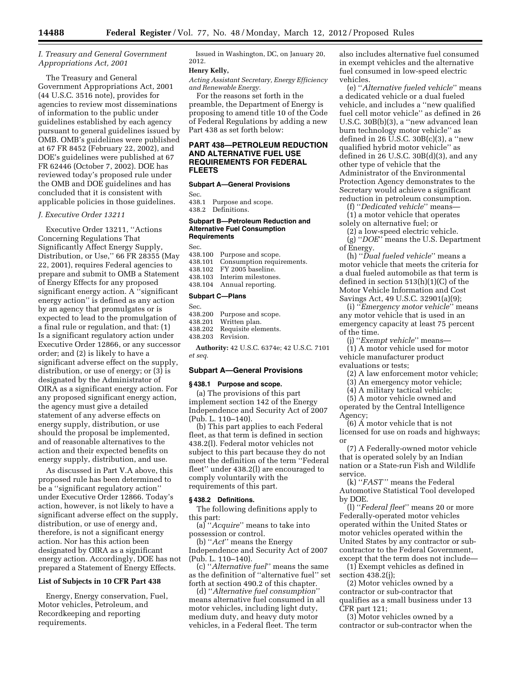# *I. Treasury and General Government Appropriations Act, 2001*

The Treasury and General Government Appropriations Act, 2001 (44 U.S.C. 3516 note), provides for agencies to review most disseminations of information to the public under guidelines established by each agency pursuant to general guidelines issued by OMB. OMB's guidelines were published at 67 FR 8452 (February 22, 2002), and DOE's guidelines were published at 67 FR 62446 (October 7, 2002). DOE has reviewed today's proposed rule under the OMB and DOE guidelines and has concluded that it is consistent with applicable policies in those guidelines.

#### *J. Executive Order 13211*

Executive Order 13211, ''Actions Concerning Regulations That Significantly Affect Energy Supply, Distribution, or Use,'' 66 FR 28355 (May 22, 2001), requires Federal agencies to prepare and submit to OMB a Statement of Energy Effects for any proposed significant energy action. A ''significant energy action'' is defined as any action by an agency that promulgates or is expected to lead to the promulgation of a final rule or regulation, and that: (1) Is a significant regulatory action under Executive Order 12866, or any successor order; and (2) is likely to have a significant adverse effect on the supply, distribution, or use of energy; or (3) is designated by the Administrator of OIRA as a significant energy action. For any proposed significant energy action, the agency must give a detailed statement of any adverse effects on energy supply, distribution, or use should the proposal be implemented, and of reasonable alternatives to the action and their expected benefits on energy supply, distribution, and use.

As discussed in Part V.A above, this proposed rule has been determined to be a ''significant regulatory action'' under Executive Order 12866. Today's action, however, is not likely to have a significant adverse effect on the supply, distribution, or use of energy and, therefore, is not a significant energy action. Nor has this action been designated by OIRA as a significant energy action. Accordingly, DOE has not prepared a Statement of Energy Effects.

## **List of Subjects in 10 CFR Part 438**

Energy, Energy conservation, Fuel, Motor vehicles, Petroleum, and Recordkeeping and reporting requirements.

Issued in Washington, DC, on January 20, 2012.

## **Henry Kelly,**

*Acting Assistant Secretary, Energy Efficiency and Renewable Energy.* 

For the reasons set forth in the preamble, the Department of Energy is proposing to amend title 10 of the Code of Federal Regulations by adding a new Part 438 as set forth below:

## **PART 438—PETROLEUM REDUCTION AND ALTERNATIVE FUEL USE REQUIREMENTS FOR FEDERAL FLEETS**

#### **Subpart A—General Provisions**

Sec.<br>438.1

Purpose and scope. 438.2 Definitions.

#### **Subpart B—Petroleum Reduction and Alternative Fuel Consumption Requirements**

Sec.

438.100 Purpose and scope.

- 438.101 Consumption requirements.<br>438.102 FY 2005 baseline FY 2005 baseline.
- 438.103 Interim milestones.
- 438.104 Annual reporting.

#### **Subpart C—Plans**

Sec.<br>438.200

- 438.200 Purpose and scope.<br>438.201 Written plan
- 438.201 Written plan.<br>438.202 Requisite elen
- 438.202 Requisite elements.
- Revision.

**Authority:** 42 U.S.C. 6374e; 42 U.S.C. 7101 *et seq.* 

#### **Subpart A—General Provisions**

#### **§ 438.1 Purpose and scope.**

(a) The provisions of this part implement section 142 of the Energy Independence and Security Act of 2007 (Pub. L. 110–140).

(b) This part applies to each Federal fleet, as that term is defined in section 438.2(l). Federal motor vehicles not subject to this part because they do not meet the definition of the term ''Federal fleet'' under 438.2(l) are encouraged to comply voluntarily with the requirements of this part.

#### **§ 438.2 Definitions.**

The following definitions apply to this part:

(a) ''*Acquire*'' means to take into possession or control.

(b) ''*Act*'' means the Energy Independence and Security Act of 2007 (Pub. L. 110–140).

(c) ''*Alternative fuel*'' means the same as the definition of ''alternative fuel'' set forth at section 490.2 of this chapter.

(d) ''*Alternative fuel consumption*'' means alternative fuel consumed in all motor vehicles, including light duty, medium duty, and heavy duty motor vehicles, in a Federal fleet. The term

also includes alternative fuel consumed in exempt vehicles and the alternative fuel consumed in low-speed electric vehicles.

(e) ''*Alternative fueled vehicle*'' means a dedicated vehicle or a dual fueled vehicle, and includes a ''new qualified fuel cell motor vehicle'' as defined in 26 U.S.C. 30B(b)(3), a ''new advanced lean burn technology motor vehicle'' as defined in 26  $\check{U}$ .S.C. 30B(c)(3), a "new qualified hybrid motor vehicle'' as defined in 26 U.S.C.  $30B(d)(3)$ , and any other type of vehicle that the Administrator of the Environmental Protection Agency demonstrates to the Secretary would achieve a significant reduction in petroleum consumption.

(f) ''*Dedicated vehicle*'' means—

(1) a motor vehicle that operates solely on alternative fuel; or

(2) a low-speed electric vehicle. (g) ''*DOE*'' means the U.S. Department

of Energy. (h) ''*Dual fueled vehicle*'' means a motor vehicle that meets the criteria for a dual fueled automobile as that term is defined in section 513(h)(1)(C) of the Motor Vehicle Information and Cost Savings Act, 49 U.S.C. 32901(a)(9);

(i) ''*Emergency motor vehicle*'' means any motor vehicle that is used in an emergency capacity at least 75 percent of the time.

(j) ''*Exempt vehicle*'' means—

(1) A motor vehicle used for motor vehicle manufacturer product evaluations or tests;

(2) A law enforcement motor vehicle;

(3) An emergency motor vehicle;

(4) A military tactical vehicle;

(5) A motor vehicle owned and operated by the Central Intelligence Agency;

(6) A motor vehicle that is not licensed for use on roads and highways; or

(7) A Federally-owned motor vehicle that is operated solely by an Indian nation or a State-run Fish and Wildlife service.

(k) ''*FAST*'' means the Federal Automotive Statistical Tool developed by DOE.

(l) ''*Federal fleet*'' means 20 or more Federally-operated motor vehicles operated within the United States or motor vehicles operated within the United States by any contractor or subcontractor to the Federal Government, except that the term does not include—

(1) Exempt vehicles as defined in section 438.2(j);

(2) Motor vehicles owned by a contractor or sub-contractor that qualifies as a small business under 13 CFR part 121;

(3) Motor vehicles owned by a contractor or sub-contractor when the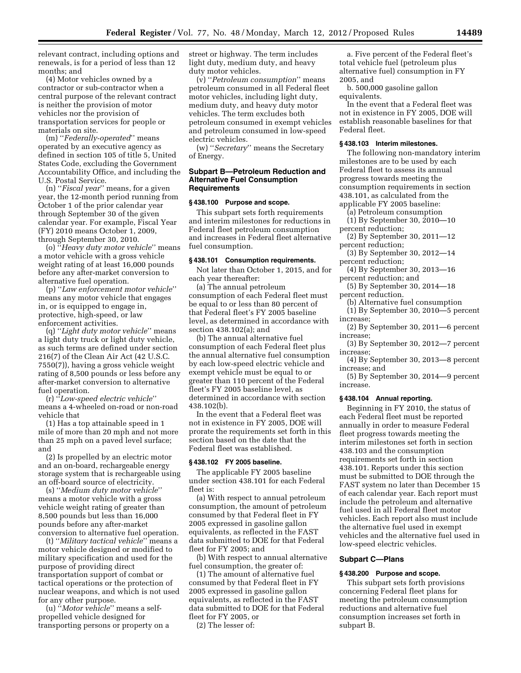relevant contract, including options and renewals, is for a period of less than 12 months; and

(4) Motor vehicles owned by a contractor or sub-contractor when a central purpose of the relevant contract is neither the provision of motor vehicles nor the provision of transportation services for people or materials on site.

(m) ''*Federally-operated*'' means operated by an executive agency as defined in section 105 of title 5, United States Code, excluding the Government Accountability Office, and including the U.S. Postal Service.

(n) ''*Fiscal year*'' means, for a given year, the 12-month period running from October 1 of the prior calendar year through September 30 of the given calendar year. For example, Fiscal Year (FY) 2010 means October 1, 2009, through September 30, 2010.

(o) ''*Heavy duty motor vehicle*'' means a motor vehicle with a gross vehicle weight rating of at least 16,000 pounds before any after-market conversion to alternative fuel operation.

(p) ''*Law enforcement motor vehicle*'' means any motor vehicle that engages in, or is equipped to engage in, protective, high-speed, or law enforcement activities.

(q) ''*Light duty motor vehicle*'' means a light duty truck or light duty vehicle, as such terms are defined under section 216(7) of the Clean Air Act (42 U.S.C. 7550(7)), having a gross vehicle weight rating of 8,500 pounds or less before any after-market conversion to alternative fuel operation.

(r) ''*Low-speed electric vehicle*'' means a 4-wheeled on-road or non-road vehicle that

(1) Has a top attainable speed in 1 mile of more than 20 mph and not more than 25 mph on a paved level surface; and

(2) Is propelled by an electric motor and an on-board, rechargeable energy storage system that is rechargeable using an off-board source of electricity.

(s) ''*Medium duty motor vehicle*'' means a motor vehicle with a gross vehicle weight rating of greater than 8,500 pounds but less than 16,000 pounds before any after-market conversion to alternative fuel operation.

(t) ''*Military tactical vehicle*'' means a motor vehicle designed or modified to military specification and used for the purpose of providing direct transportation support of combat or tactical operations or the protection of nuclear weapons, and which is not used for any other purpose.

(u) ''*Motor vehicle*'' means a selfpropelled vehicle designed for transporting persons or property on a street or highway. The term includes light duty, medium duty, and heavy duty motor vehicles.

(v) ''*Petroleum consumption*'' means petroleum consumed in all Federal fleet motor vehicles, including light duty, medium duty, and heavy duty motor vehicles. The term excludes both petroleum consumed in exempt vehicles and petroleum consumed in low-speed electric vehicles.

(w) ''*Secretary*'' means the Secretary of Energy.

## **Subpart B—Petroleum Reduction and Alternative Fuel Consumption Requirements**

## **§ 438.100 Purpose and scope.**

This subpart sets forth requirements and interim milestones for reductions in Federal fleet petroleum consumption and increases in Federal fleet alternative fuel consumption.

## **§ 438.101 Consumption requirements.**

Not later than October 1, 2015, and for each year thereafter:

(a) The annual petroleum consumption of each Federal fleet must be equal to or less than 80 percent of that Federal fleet's FY 2005 baseline level, as determined in accordance with section 438.102(a); and

(b) The annual alternative fuel consumption of each Federal fleet plus the annual alternative fuel consumption by each low-speed electric vehicle and exempt vehicle must be equal to or greater than 110 percent of the Federal fleet's FY 2005 baseline level, as determined in accordance with section 438.102(b).

In the event that a Federal fleet was not in existence in FY 2005, DOE will prorate the requirements set forth in this section based on the date that the Federal fleet was established.

### **§ 438.102 FY 2005 baseline.**

The applicable FY 2005 baseline under section 438.101 for each Federal fleet is:

(a) With respect to annual petroleum consumption, the amount of petroleum consumed by that Federal fleet in FY 2005 expressed in gasoline gallon equivalents, as reflected in the FAST data submitted to DOE for that Federal fleet for FY 2005; and

(b) With respect to annual alternative fuel consumption, the greater of:

(1) The amount of alternative fuel consumed by that Federal fleet in FY 2005 expressed in gasoline gallon equivalents, as reflected in the FAST data submitted to DOE for that Federal fleet for FY 2005, or

(2) The lesser of:

a. Five percent of the Federal fleet's total vehicle fuel (petroleum plus alternative fuel) consumption in FY 2005, and

b. 500,000 gasoline gallon equivalents.

In the event that a Federal fleet was not in existence in FY 2005, DOE will establish reasonable baselines for that Federal fleet.

#### **§ 438.103 Interim milestones.**

The following non-mandatory interim milestones are to be used by each Federal fleet to assess its annual progress towards meeting the consumption requirements in section 438.101, as calculated from the applicable FY 2005 baseline:

(a) Petroleum consumption

(1) By September 30, 2010—10 percent reduction;

(2) By September 30, 2011—12 percent reduction;

(3) By September 30, 2012—14 percent reduction;

(4) By September 30, 2013—16 percent reduction; and

(5) By September 30, 2014—18 percent reduction.

(b) Alternative fuel consumption

- (1) By September 30, 2010—5 percent increase;
- (2) By September 30, 2011—6 percent increase;

(3) By September 30, 2012—7 percent increase;

(4) By September 30, 2013—8 percent increase; and

(5) By September 30, 2014—9 percent increase.

#### **§ 438.104 Annual reporting.**

Beginning in FY 2010, the status of each Federal fleet must be reported annually in order to measure Federal fleet progress towards meeting the interim milestones set forth in section 438.103 and the consumption requirements set forth in section 438.101. Reports under this section must be submitted to DOE through the FAST system no later than December 15 of each calendar year. Each report must include the petroleum and alternative fuel used in all Federal fleet motor vehicles. Each report also must include the alternative fuel used in exempt vehicles and the alternative fuel used in low-speed electric vehicles.

#### **Subpart C—Plans**

#### **§ 438.200 Purpose and scope.**

This subpart sets forth provisions concerning Federal fleet plans for meeting the petroleum consumption reductions and alternative fuel consumption increases set forth in subpart B.